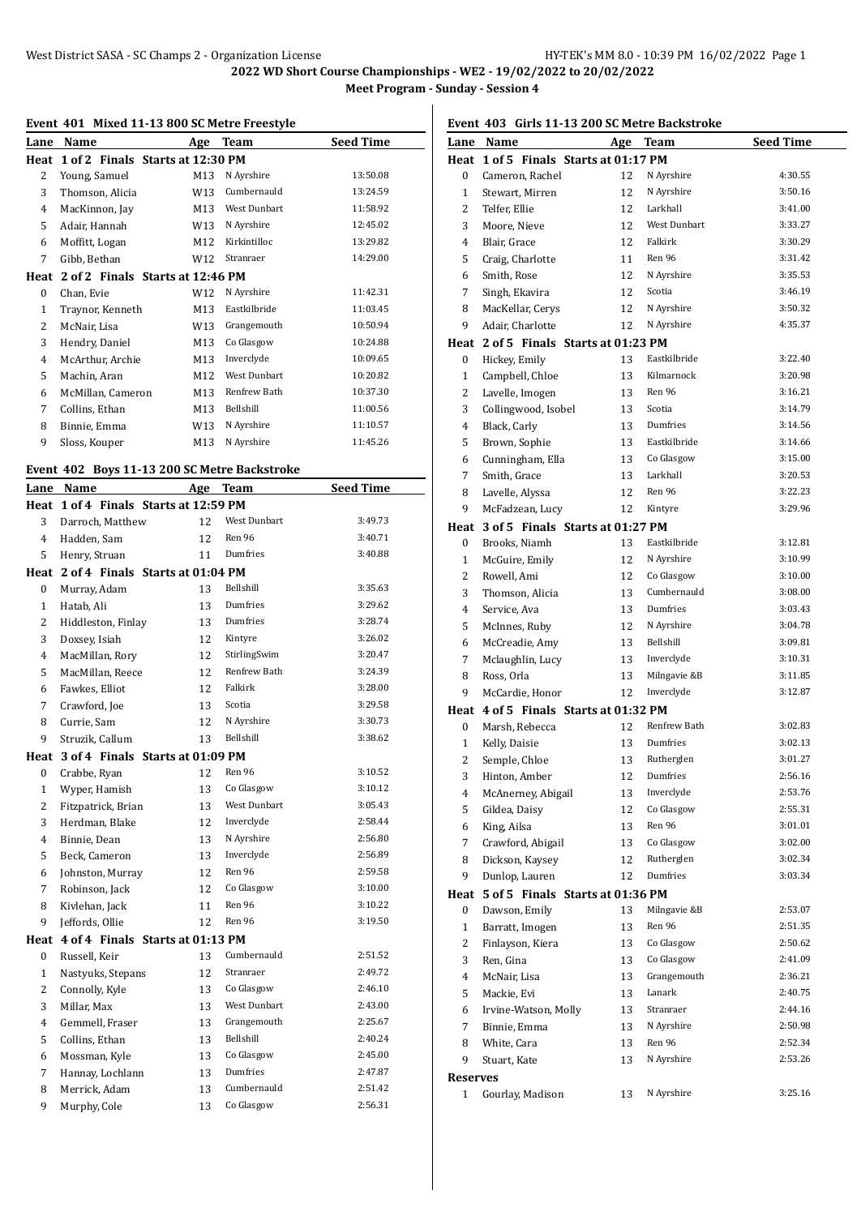**2022 WD Short Course Championships - WE2 - 19/02/2022 to 20/02/2022**

**Meet Program - Sunday - Session 4**

**Seed Time** 

| Lane Name | Age Team                              |
|-----------|---------------------------------------|
|           | Heat 1 of 2 Finals Starts at 12:30 PM |

**Event 401 Mixed 11-13 800 SC Metre Freestyle**

| неат | TOLZ FINALS STAFTS AT 12:30 PM   |     |                     |          |
|------|----------------------------------|-----|---------------------|----------|
| 2    | Young, Samuel                    | M13 | N Ayrshire          | 13:50.08 |
| 3    | Thomson, Alicia                  | W13 | Cumbernauld         | 13:24.59 |
| 4    | MacKinnon, Jay                   | M13 | West Dunbart        | 11:58.92 |
| 5    | Adair, Hannah                    | W13 | N Ayrshire          | 12:45.02 |
| 6    | Moffitt, Logan                   | M12 | Kirkintilloc        | 13:29.82 |
| 7    | Gibb, Bethan                     | W12 | Stranraer           | 14:29.00 |
| Heat | 2 of 2 Finals Starts at 12:46 PM |     |                     |          |
| 0    | Chan, Evie                       | W12 | N Ayrshire          | 11:42.31 |
| 1    | Traynor, Kenneth                 | M13 | Eastkilbride        | 11:03.45 |
| 2    | McNair, Lisa                     | W13 | Grangemouth         | 10:50.94 |
| 3    | Hendry, Daniel                   | M13 | Co Glasgow          | 10:24.88 |
| 4    | McArthur, Archie                 | M13 | Inverclyde          | 10:09.65 |
| 5    | Machin, Aran                     | M12 | <b>West Dunbart</b> | 10:20.82 |
| 6    | McMillan, Cameron                | M13 | Renfrew Bath        | 10:37.30 |
| 7    | Collins, Ethan                   | M13 | Bellshill           | 11:00.56 |
| 8    | Binnie, Emma                     | W13 | N Ayrshire          | 11:10.57 |
| 9    | Sloss, Kouper                    | M13 | N Ayrshire          | 11:45.26 |
|      |                                  |     |                     |          |

#### **Event 402 Boys 11-13 200 SC Metre Backstroke**

| Lane           | Name                             | Age | <b>Team</b>         | <b>Seed Time</b> |
|----------------|----------------------------------|-----|---------------------|------------------|
| Heat           | 1 of 4 Finals Starts at 12:59 PM |     |                     |                  |
| 3              | Darroch, Matthew                 | 12  | <b>West Dunbart</b> | 3:49.73          |
| $\overline{4}$ | Hadden, Sam                      | 12  | Ren 96              | 3:40.71          |
| 5              | Henry, Struan                    | 11  | Dumfries            | 3:40.88          |
| Heat           | 2 of 4 Finals Starts at 01:04 PM |     |                     |                  |
| $\Omega$       | Murray, Adam                     | 13  | Bellshill           | 3:35.63          |
| $\mathbf{1}$   | Hatab, Ali                       | 13  | Dumfries            | 3:29.62          |
| $\overline{c}$ | Hiddleston, Finlay               | 13  | Dumfries            | 3:28.74          |
| 3              | Doxsey, Isiah                    | 12  | Kintyre             | 3:26.02          |
| $\overline{4}$ | MacMillan, Rory                  | 12  | StirlingSwim        | 3:20.47          |
| 5              | MacMillan, Reece                 | 12  | Renfrew Bath        | 3:24.39          |
| 6              | Fawkes, Elliot                   | 12  | Falkirk             | 3:28.00          |
| 7              | Crawford, Joe                    | 13  | Scotia              | 3:29.58          |
| 8              | Currie, Sam                      | 12  | N Ayrshire          | 3:30.73          |
| 9              | Struzik. Callum                  | 13  | Bellshill           | 3:38.62          |
| Heat           | 3 of 4 Finals Starts at 01:09 PM |     |                     |                  |
| 0              | Crabbe, Ryan                     | 12  | Ren 96              | 3:10.52          |
| $\mathbf{1}$   | Wyper, Hamish                    | 13  | Co Glasgow          | 3:10.12          |
| 2              | Fitzpatrick, Brian               | 13  | West Dunbart        | 3:05.43          |
| 3              | Herdman, Blake                   | 12  | Inverclyde          | 2:58.44          |
| $\overline{4}$ | Binnie, Dean                     | 13  | N Ayrshire          | 2:56.80          |
| 5              | Beck, Cameron                    | 13  | Inverclyde          | 2:56.89          |
| 6              | Johnston, Murray                 | 12  | Ren 96              | 2:59.58          |
| 7              | Robinson, Jack                   | 12  | Co Glasgow          | 3:10.00          |
| 8              | Kivlehan, Jack                   | 11  | Ren 96              | 3:10.22          |
| 9              | Jeffords, Ollie                  | 12  | Ren 96              | 3:19.50          |
| Heat           | 4 of 4 Finals Starts at 01:13 PM |     |                     |                  |
| 0              | Russell, Keir                    | 13  | Cumbernauld         | 2:51.52          |
| 1              | Nastyuks, Stepans                | 12  | Stranraer           | 2:49.72          |
| 2              | Connolly, Kyle                   | 13  | Co Glasgow          | 2:46.10          |
| 3              | Millar, Max                      | 13  | <b>West Dunbart</b> | 2:43.00          |
| 4              | Gemmell, Fraser                  | 13  | Grangemouth         | 2:25.67          |
| 5              | Collins, Ethan                   | 13  | Bellshill           | 2:40.24          |
| 6              | Mossman, Kyle                    | 13  | Co Glasgow          | 2:45.00          |
| 7              | Hannay, Lochlann                 | 13  | Dumfries            | 2:47.87          |
| 8              | Merrick, Adam                    | 13  | Cumbernauld         | 2:51.42          |
| 9              | Murphy, Cole                     | 13  | Co Glasgow          | 2:56.31          |

# **Event 403 Girls 11-13 200 SC Metre Backstroke**

|              | Lane Name                             | Age | Team                | <b>Seed Time</b> |
|--------------|---------------------------------------|-----|---------------------|------------------|
|              | Heat 1 of 5 Finals Starts at 01:17 PM |     |                     |                  |
| 0            | Cameron, Rachel                       | 12  | N Ayrshire          | 4:30.55          |
| 1            | Stewart, Mirren                       | 12  | N Ayrshire          | 3:50.16          |
| 2            | Telfer, Ellie                         | 12  | Larkhall            | 3:41.00          |
| 3            | Moore, Nieve                          | 12  | <b>West Dunbart</b> | 3:33.27          |
| 4            | Blair, Grace                          | 12  | Falkirk             | 3:30.29          |
| 5            | Craig, Charlotte                      | 11  | Ren 96              | 3:31.42          |
| 6            | Smith, Rose                           | 12  | N Ayrshire          | 3:35.53          |
| 7            | Singh, Ekavira                        | 12  | Scotia              | 3:46.19          |
| 8            | MacKellar, Cerys                      | 12  | N Ayrshire          | 3:50.32          |
| 9            | Adair, Charlotte                      | 12  | N Ayrshire          | 4:35.37          |
|              | Heat 2 of 5 Finals Starts at 01:23 PM |     |                     |                  |
| 0            | Hickey, Emily                         | 13  | Eastkilbride        | 3:22.40          |
| 1            | Campbell, Chloe                       | 13  | Kilmarnock          | 3:20.98          |
| 2            | Lavelle, Imogen                       | 13  | Ren 96              | 3:16.21          |
| 3            | Collingwood, Isobel                   | 13  | Scotia              | 3:14.79          |
| 4            | Black, Carly                          | 13  | Dumfries            | 3:14.56          |
| 5            | Brown, Sophie                         | 13  | Eastkilbride        | 3:14.66          |
| 6            | Cunningham, Ella                      | 13  | Co Glasgow          | 3:15.00          |
| 7            | Smith, Grace                          | 13  | Larkhall            | 3:20.53          |
| 8            | Lavelle, Alyssa                       | 12  | Ren 96              | 3:22.23          |
| 9            | McFadzean, Lucy                       | 12  | Kintyre             | 3:29.96          |
|              | Heat 3 of 5 Finals Starts at 01:27 PM |     |                     |                  |
| 0            | Brooks, Niamh                         | 13  | Eastkilbride        | 3:12.81          |
| 1            | McGuire, Emily                        | 12  | N Ayrshire          | 3:10.99          |
| 2            | Rowell, Ami                           | 12  | Co Glasgow          | 3:10.00          |
| 3            | Thomson, Alicia                       | 13  | Cumbernauld         | 3:08.00          |
| 4            | Service, Ava                          | 13  | Dumfries            | 3:03.43          |
| 5            | McInnes, Ruby                         | 12  | N Ayrshire          | 3:04.78          |
| 6            | McCreadie, Amy                        | 13  | Bellshill           | 3:09.81          |
| 7            | Mclaughlin, Lucy                      | 13  | Inverclyde          | 3:10.31          |
| 8            | Ross, Orla                            | 13  | Milngavie &B        | 3:11.85          |
| 9            | McCardie, Honor                       | 12  | Inverclyde          | 3:12.87          |
|              | Heat 4 of 5 Finals Starts at 01:32 PM |     |                     |                  |
| 0            | Marsh, Rebecca                        | 12  | Renfrew Bath        | 3:02.83          |
| $\mathbf{1}$ | Kelly, Daisie                         | 13  | Dumfries            | 3:02.13          |
| 2            | Semple, Chloe                         | 13  | Rutherglen          | 3:01.27          |
| 3            | Hinton, Amber                         | 12  | Dumfries            | 2:56.16          |
| 4            | McAnerney, Abigail                    | 13  | Inverclyde          | 2:53.76          |
| 5            | Gildea, Daisy                         | 12  | Co Glasgow          | 2:55.31          |
| 6            | King, Ailsa                           | 13  | Ren 96              | 3:01.01          |
| 7            | Crawford, Abigail                     | 13  | Co Glasgow          | 3:02.00          |
| 8            | Dickson, Kaysey                       | 12  | Rutherglen          | 3:02.34          |
| 9            | Dunlop, Lauren                        | 12  | Dumfries            | 3:03.34          |
| Heat         | 5 of 5 Finals Starts at 01:36 PM      |     |                     |                  |
| 0            | Dawson, Emily                         | 13  | Milngavie &B        | 2:53.07          |
| 1            | Barratt, Imogen                       | 13  | Ren 96              | 2:51.35          |
| 2            | Finlayson, Kiera                      | 13  | Co Glasgow          | 2:50.62          |
| 3            | Ren, Gina                             | 13  | Co Glasgow          | 2:41.09          |
| 4            | McNair, Lisa                          | 13  | Grangemouth         | 2:36.21          |
| 5            | Mackie, Evi                           | 13  | Lanark              | 2:40.75          |
| 6            | Irvine-Watson, Molly                  | 13  | Stranraer           | 2:44.16          |
| 7            | Binnie, Emma                          | 13  | N Ayrshire          | 2:50.98          |
| 8            | White, Cara                           | 13  | Ren 96              | 2:52.34          |
| 9            | Stuart, Kate                          | 13  | N Ayrshire          | 2:53.26          |
| Reserves     |                                       |     |                     |                  |
| 1            | Gourlay, Madison                      | 13  | N Ayrshire          | 3:25.16          |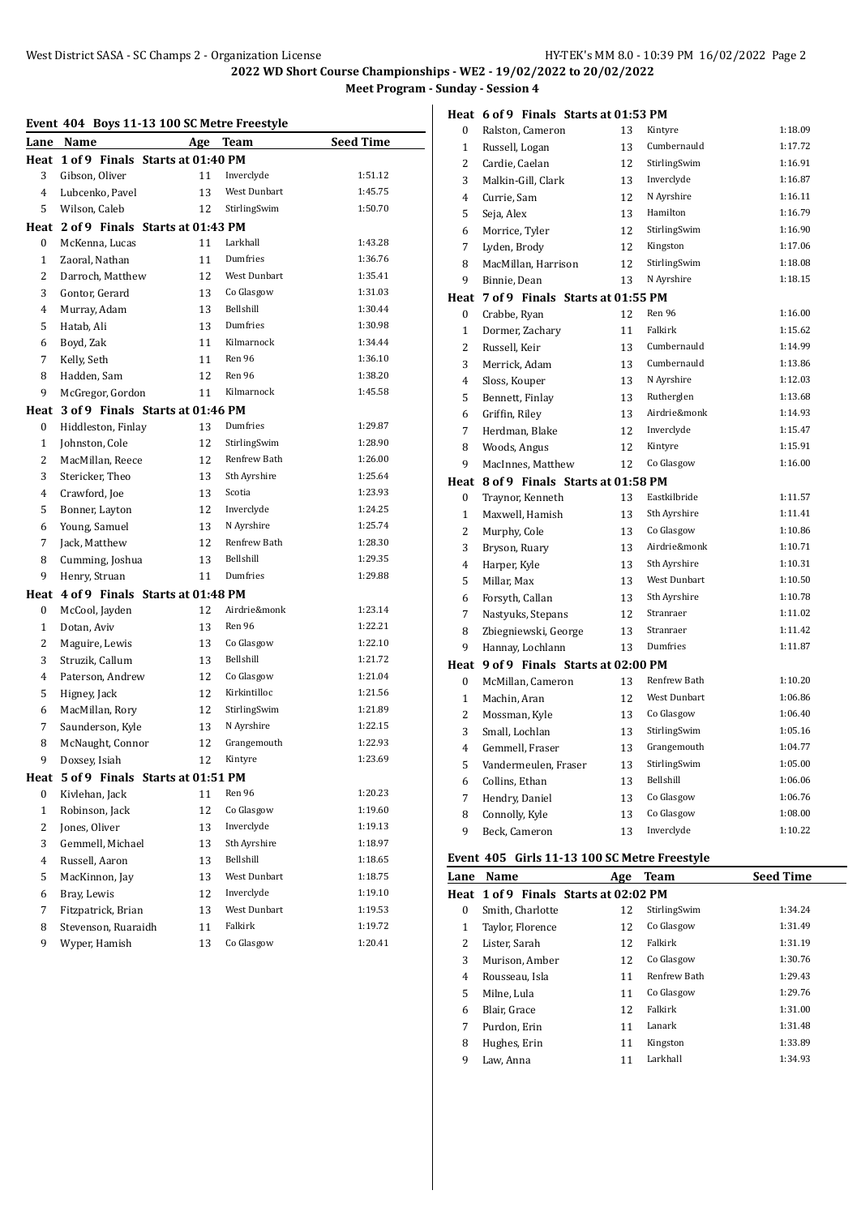#### **Heat 6 of 9 Finals Starts at 01:53 PM**

|                | Event 404 Boys 11-13 100 SC Metre Freestyle |    |                     |                  |
|----------------|---------------------------------------------|----|---------------------|------------------|
|                | Lane Name                                   |    | Age Team            | <b>Seed Time</b> |
|                | Heat 1 of 9 Finals Starts at 01:40 PM       |    |                     |                  |
| 3              | Gibson, Oliver                              | 11 | Inverclyde          | 1:51.12          |
| 4              | Lubcenko, Pavel                             | 13 | <b>West Dunbart</b> | 1:45.75          |
| 5              | Wilson, Caleb                               | 12 | StirlingSwim        | 1:50.70          |
|                | Heat 2 of 9 Finals Starts at 01:43 PM       |    |                     |                  |
| $\mathbf{0}$   | McKenna, Lucas                              | 11 | Larkhall            | 1:43.28          |
| $\mathbf{1}$   | Zaoral, Nathan                              | 11 | Dumfries            | 1:36.76          |
| 2              | Darroch, Matthew                            | 12 | West Dunbart        | 1:35.41          |
| 3              | Gontor, Gerard                              | 13 | Co Glasgow          | 1:31.03          |
| 4              | Murray, Adam                                | 13 | Bellshill           | 1:30.44          |
| 5              | Hatab, Ali                                  | 13 | Dumfries            | 1:30.98          |
| 6              | Boyd, Zak                                   | 11 | Kilmarnock          | 1:34.44          |
| 7              | Kelly, Seth                                 | 11 | Ren 96              | 1:36.10          |
| 8              | Hadden, Sam                                 | 12 | Ren 96              | 1:38.20          |
| 9              | McGregor, Gordon                            | 11 | Kilmarnock          | 1:45.58          |
| Heat           | 3 of 9 Finals Starts at 01:46 PM            |    |                     |                  |
| $\mathbf{0}$   | Hiddleston, Finlay                          | 13 | Dumfries            | 1:29.87          |
| $\mathbf{1}$   | Johnston, Cole                              | 12 | StirlingSwim        | 1:28.90          |
| $\overline{2}$ | MacMillan, Reece                            | 12 | Renfrew Bath        | 1:26.00          |
| 3              | Stericker, Theo                             | 13 | Sth Ayrshire        | 1:25.64          |
| 4              | Crawford, Joe                               | 13 | Scotia              | 1:23.93          |
| 5              | Bonner, Layton                              | 12 | Inverclyde          | 1:24.25          |
| 6              | Young, Samuel                               | 13 | N Ayrshire          | 1:25.74          |
| 7              | Jack, Matthew                               | 12 | <b>Renfrew Bath</b> | 1:28.30          |
| 8              | Cumming, Joshua                             | 13 | Bellshill           | 1:29.35          |
| 9              | Henry, Struan                               | 11 | Dumfries            | 1:29.88          |
|                | Heat 4 of 9 Finals Starts at 01:48 PM       |    |                     |                  |
| $\mathbf{0}$   | McCool, Jayden                              | 12 | Airdrie&monk        | 1:23.14          |
| $\mathbf{1}$   | Dotan, Aviv                                 | 13 | Ren 96              | 1:22.21          |
| 2              | Maguire, Lewis                              | 13 | Co Glasgow          | 1:22.10          |
| 3              | Struzik, Callum                             | 13 | Bellshill           | 1:21.72          |
| 4              | Paterson, Andrew                            | 12 | Co Glasgow          | 1:21.04          |
| 5              | Higney, Jack                                | 12 | Kirkintilloc        | 1:21.56          |
| 6              | MacMillan, Rory                             | 12 | StirlingSwim        | 1:21.89          |
| 7              | Saunderson, Kyle                            | 13 | N Ayrshire          | 1:22.15          |
| 8              | McNaught, Connor                            | 12 | Grangemouth         | 1:22.93          |
| 9              | Doxsey, Isiah                               | 12 | Kintyre             | 1:23.69          |
|                | Heat 5 of 9 Finals Starts at 01:51 PM       |    |                     |                  |
| $\bf{0}$       | Kivlehan, Jack                              | 11 | Ren 96              | 1:20.23          |
| $\mathbf 1$    | Robinson, Jack                              | 12 | Co Glasgow          | 1:19.60          |
| 2              | Jones, Oliver                               | 13 | Inverclyde          | 1:19.13          |
| 3              | Gemmell, Michael                            | 13 | Sth Ayrshire        | 1:18.97          |
| 4              | Russell, Aaron                              | 13 | Bellshill           | 1:18.65          |
| 5              | MacKinnon, Jay                              | 13 | West Dunbart        | 1:18.75          |
| 6              | Bray, Lewis                                 | 12 | Inverclyde          | 1:19.10          |
| 7              | Fitzpatrick, Brian                          | 13 | West Dunbart        | 1:19.53          |
| 8              | Stevenson, Ruaraidh                         | 11 | Falkirk             | 1:19.72          |
| 9              | Wyper, Hamish                               | 13 | Co Glasgow          | 1:20.41          |
|                |                                             |    |                     |                  |

| 0              | Ralston, Cameron                 | 13 | Kintyre      | 1:18.09 |
|----------------|----------------------------------|----|--------------|---------|
| $\mathbf{1}$   | Russell, Logan                   | 13 | Cumbernauld  | 1:17.72 |
| $\overline{2}$ | Cardie, Caelan                   | 12 | StirlingSwim | 1:16.91 |
| 3              | Malkin-Gill, Clark               | 13 | Inverclyde   | 1:16.87 |
| 4              | Currie, Sam                      | 12 | N Ayrshire   | 1:16.11 |
| 5              | Seja, Alex                       | 13 | Hamilton     | 1:16.79 |
| 6              | Morrice, Tyler                   | 12 | StirlingSwim | 1:16.90 |
| 7              | Lyden, Brody                     | 12 | Kingston     | 1:17.06 |
| 8              | MacMillan, Harrison              | 12 | StirlingSwim | 1:18.08 |
| 9              | Binnie, Dean                     | 13 | N Ayrshire   | 1:18.15 |
| Heat           | 7 of 9 Finals Starts at 01:55 PM |    |              |         |
| 0              | Crabbe, Ryan                     | 12 | Ren 96       | 1:16.00 |
| $\mathbf{1}$   | Dormer, Zachary                  | 11 | Falkirk      | 1:15.62 |
| 2              | Russell, Keir                    | 13 | Cumbernauld  | 1:14.99 |
| 3              | Merrick, Adam                    | 13 | Cumbernauld  | 1:13.86 |
| 4              | Sloss, Kouper                    | 13 | N Ayrshire   | 1:12.03 |
| 5              | Bennett, Finlay                  | 13 | Rutherglen   | 1:13.68 |
| 6              | Griffin, Riley                   | 13 | Airdrie&monk | 1:14.93 |
| 7              | Herdman, Blake                   | 12 | Inverclyde   | 1:15.47 |
| 8              | Woods, Angus                     | 12 | Kintyre      | 1:15.91 |
| 9              | MacInnes, Matthew                | 12 | Co Glasgow   | 1:16.00 |
| Heat           | 8 of 9 Finals Starts at 01:58 PM |    |              |         |
| 0              | Traynor, Kenneth                 | 13 | Eastkilbride | 1:11.57 |
| $\mathbf{1}$   | Maxwell, Hamish                  | 13 | Sth Ayrshire | 1:11.41 |
| 2              | Murphy, Cole                     | 13 | Co Glasgow   | 1:10.86 |
| 3              | Bryson, Ruary                    | 13 | Airdrie&monk | 1:10.71 |
| $\overline{4}$ | Harper, Kyle                     | 13 | Sth Ayrshire | 1:10.31 |
| 5              | Millar, Max                      | 13 | West Dunbart | 1:10.50 |
| 6              | Forsyth, Callan                  | 13 | Sth Ayrshire | 1:10.78 |
| 7              | Nastyuks, Stepans                | 12 | Stranraer    | 1:11.02 |
| 8              | Zbiegniewski, George             | 13 | Stranraer    | 1:11.42 |
| 9              | Hannay, Lochlann                 | 13 | Dumfries     | 1:11.87 |
| Heat           | 9 of 9 Finals Starts at 02:00 PM |    |              |         |
| 0              | McMillan, Cameron                | 13 | Renfrew Bath | 1:10.20 |
| $\mathbf{1}$   | Machin, Aran                     | 12 | West Dunbart | 1:06.86 |
| 2              | Mossman, Kyle                    | 13 | Co Glasgow   | 1:06.40 |
| 3              | Small, Lochlan                   | 13 | StirlingSwim | 1:05.16 |
| $\overline{4}$ | Gemmell, Fraser                  | 13 | Grangemouth  | 1:04.77 |
| 5              | Vandermeulen, Fraser             | 13 | StirlingSwim | 1:05.00 |
| 6              | Collins, Ethan                   | 13 | Bellshill    | 1:06.06 |
| 7              | Hendry, Daniel                   | 13 | Co Glasgow   | 1:06.76 |
| 8              | Connolly, Kyle                   | 13 | Co Glasgow   | 1:08.00 |
| 9              | Beck, Cameron                    | 13 | Inverclyde   | 1:10.22 |
|                |                                  |    |              |         |

## **Event 405 Girls 11-13 100 SC Metre Freestyle**

| Lane | Name                                  | Age | <b>Team</b>         | <b>Seed Time</b> |
|------|---------------------------------------|-----|---------------------|------------------|
|      | Heat 1 of 9 Finals Starts at 02:02 PM |     |                     |                  |
| 0    | Smith, Charlotte                      | 12  | StirlingSwim        | 1:34.24          |
| 1    | Taylor, Florence                      | 12  | Co Glasgow          | 1:31.49          |
| 2    | Lister, Sarah                         | 12  | Falkirk             | 1:31.19          |
| 3    | Murison, Amber                        | 12  | Co Glasgow          | 1:30.76          |
| 4    | Rousseau, Isla                        | 11  | <b>Renfrew Bath</b> | 1:29.43          |
| 5    | Milne, Lula                           | 11  | Co Glasgow          | 1:29.76          |
| 6    | Blair, Grace                          | 12  | Falkirk             | 1:31.00          |
| 7    | Purdon, Erin                          | 11  | Lanark              | 1:31.48          |
| 8    | Hughes, Erin                          | 11  | Kingston            | 1:33.89          |
| 9    | Law, Anna                             | 11  | Larkhall            | 1:34.93          |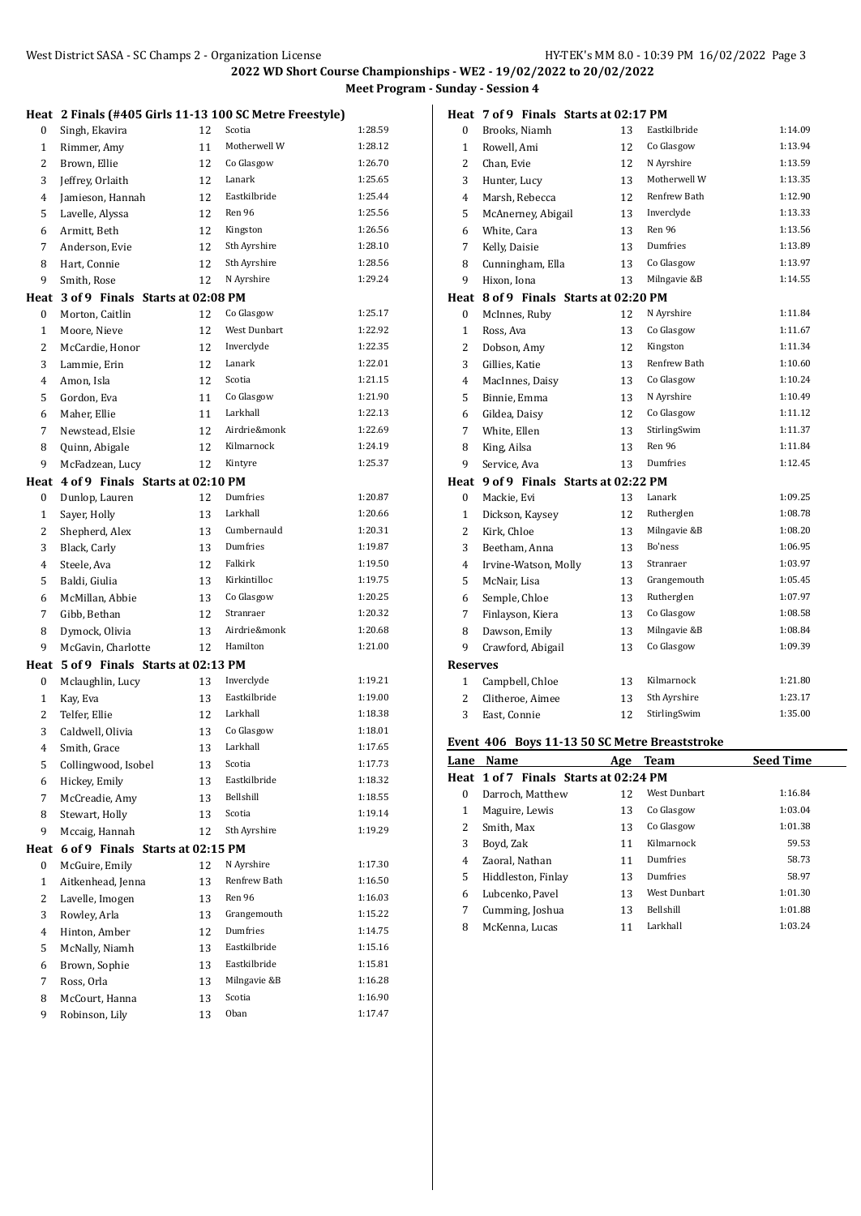**Heat 2 Finals (#405 Girls 11-13 100 SC Metre Freestyle)** 0 Singh, Ekavira 12 Scotia 1:28.59 1 Rimmer, Amy 11 Motherwell W 1:28.12 2 Brown, Ellie 12 Co Glasgow 1:26.70 Jeffrey, Orlaith 12 Lanark 1:25.65 Jamieson, Hannah 12 Eastkilbride 1:25.44 Lavelle, Alyssa 12 Ren 96 1:25.56 Armitt, Beth 12 Kingston 1:26.56 7 Anderson, Evie 12 Sth Ayrshire 1:28.10 8 Hart, Connie 12 Sth Ayrshire 1:28.56 Smith, Rose 12 N Ayrshire 1:29.24 **Heat 3 of 9 Finals Starts at 02:08 PM** 0 Morton, Caitlin 12 Co Glasgow 1:25.17 1 Moore, Nieve 12 West Dunbart 1:22.92 2 McCardie, Honor 12 Inverclyde 1:22.35 Lammie, Erin 12 Lanark 1:22.01 Amon, Isla 12 Scotia 1:21.15 Gordon, Eva 11 Co Glasgow 1:21.90 Maher, Ellie 11 Larkhall 1:22.13 7 Newstead, Elsie 12 Airdrie&monk 1:22.69 8 Quinn, Abigale 12 Kilmarnock 1:24.19 9 McFadzean, Lucy 12 Kintyre 1:25.37 **Heat 4 of 9 Finals Starts at 02:10 PM** Dunlop, Lauren 12 Dumfries 1:20.87 1 Sayer, Holly 13 Larkhall 1:20.66 2 Shepherd, Alex 13 Cumbernauld 1:20.31 3 Black, Carly 13 Dumfries 1:19.87 Steele, Ava 12 Falkirk 1:19.50 Baldi, Giulia 13 Kirkintilloc 1:19.75 McMillan, Abbie 13 Co Glasgow 1:20.25 Gibb, Bethan 12 Stranraer 1:20.32 Dymock, Olivia 13 Airdrie&monk 1:20.68 9 McGavin, Charlotte 12 Hamilton 1:21.00 **Heat 5 of 9 Finals Starts at 02:13 PM** Mclaughlin, Lucy 13 Inverclyde 1:19.21 Kay, Eva 13 Eastkilbride 1:19.00 2 Telfer, Ellie 12 Larkhall 1:18.38 Caldwell, Olivia 13 Co Glasgow 1:18.01 4 Smith, Grace 13 Larkhall 1:17.65 Collingwood, Isobel 13 Scotia 1:17.73 Hickey, Emily 13 Eastkilbride 1:18.32 7 McCreadie, Amy 13 Bellshill 1:18.55 8 Stewart, Holly 13 Scotia 1:19.14 9 Mccaig, Hannah 12 Sth Ayrshire 1:19.29 **Heat 6 of 9 Finals Starts at 02:15 PM** 0 McGuire, Emily 12 N Ayrshire 1:17.30 Aitkenhead, Jenna 13 Renfrew Bath 1:16.50 2 Lavelle, Imogen 13 Ren 96 1:16.03 3 Rowley, Arla 13 Grangemouth 1:15.22 Hinton, Amber 12 Dumfries 1:14.75 McNally, Niamh 13 Eastkilbride 1:15.16 Brown, Sophie 13 Eastkilbride 1:15.81 7 Ross, Orla 13 Milngavie &B 1:16.28 8 McCourt, Hanna 13 Scotia 1:16.90 Robinson, Lily 13 Oban 1:17.47

|                 | Heat 7 of 9 Finals Starts at 02:17 PM |    |              |         |
|-----------------|---------------------------------------|----|--------------|---------|
| $\bf{0}$        | Brooks, Niamh                         | 13 | Eastkilbride | 1:14.09 |
| $\mathbf{1}$    | Rowell, Ami                           | 12 | Co Glasgow   | 1:13.94 |
| $\overline{c}$  | Chan, Evie                            | 12 | N Ayrshire   | 1:13.59 |
| 3               | Hunter, Lucy                          | 13 | Motherwell W | 1:13.35 |
| $\overline{4}$  | Marsh, Rebecca                        | 12 | Renfrew Bath | 1:12.90 |
| 5               | McAnerney, Abigail                    | 13 | Inverclyde   | 1:13.33 |
| 6               | White, Cara                           | 13 | Ren 96       | 1:13.56 |
| 7               | Kelly, Daisie                         | 13 | Dumfries     | 1:13.89 |
| 8               | Cunningham, Ella                      | 13 | Co Glasgow   | 1:13.97 |
| 9               | Hixon, Iona                           | 13 | Milngavie &B | 1:14.55 |
|                 | Heat 8 of 9 Finals Starts at 02:20 PM |    |              |         |
| 0               | McInnes, Ruby                         | 12 | N Ayrshire   | 1:11.84 |
| $\mathbf{1}$    | Ross, Ava                             | 13 | Co Glasgow   | 1:11.67 |
| 2               | Dobson, Amy                           | 12 | Kingston     | 1:11.34 |
| 3               | Gillies, Katie                        | 13 | Renfrew Bath | 1:10.60 |
| $\overline{4}$  | MacInnes, Daisy                       | 13 | Co Glasgow   | 1:10.24 |
| 5               | Binnie, Emma                          | 13 | N Ayrshire   | 1:10.49 |
| 6               | Gildea, Daisy                         | 12 | Co Glasgow   | 1:11.12 |
| 7               | White, Ellen                          | 13 | StirlingSwim | 1:11.37 |
| 8               | King, Ailsa                           | 13 | Ren 96       | 1:11.84 |
| 9               | Service, Ava                          | 13 | Dumfries     | 1:12.45 |
| Heat            | 9 of 9 Finals Starts at 02:22 PM      |    |              |         |
| 0               | Mackie, Evi                           | 13 | Lanark       | 1:09.25 |
| $\mathbf{1}$    | Dickson, Kaysey                       | 12 | Rutherglen   | 1:08.78 |
| 2               | Kirk, Chloe                           | 13 | Milngavie &B | 1:08.20 |
| 3               | Beetham, Anna                         | 13 | Bo'ness      | 1:06.95 |
| 4               | Irvine-Watson, Molly                  | 13 | Stranraer    | 1:03.97 |
| 5               | McNair, Lisa                          | 13 | Grangemouth  | 1:05.45 |
| 6               | Semple, Chloe                         | 13 | Rutherglen   | 1:07.97 |
| 7               | Finlayson, Kiera                      | 13 | Co Glasgow   | 1:08.58 |
| 8               | Dawson, Emily                         | 13 | Milngavie &B | 1:08.84 |
| 9               | Crawford, Abigail                     | 13 | Co Glasgow   | 1:09.39 |
| <b>Reserves</b> |                                       |    |              |         |
| 1               | Campbell, Chloe                       | 13 | Kilmarnock   | 1:21.80 |
| 2               | Clitheroe, Aimee                      | 13 | Sth Ayrshire | 1:23.17 |
| 3               | East, Connie                          | 12 | StirlingSwim | 1:35.00 |
|                 |                                       |    |              |         |

#### **Event 406 Boys 11-13 50 SC Metre Breaststroke**

| Lane     | Name                                  | Age | <b>Team</b>      | <b>Seed Time</b> |
|----------|---------------------------------------|-----|------------------|------------------|
|          | Heat 1 of 7 Finals Starts at 02:24 PM |     |                  |                  |
| $\theta$ | Darroch, Matthew                      | 12  | West Dunbart     | 1:16.84          |
| 1        | Maguire, Lewis                        | 13  | Co Glasgow       | 1:03.04          |
| 2        | Smith. Max                            | 13  | Co Glasgow       | 1:01.38          |
| 3        | Boyd, Zak                             | 11  | Kilmarnock       | 59.53            |
| 4        | Zaoral, Nathan                        | 11  | Dumfries         | 58.73            |
| 5        | Hiddleston, Finlay                    | 13  | Dumfries         | 58.97            |
| 6        | Lubcenko. Pavel                       | 13  | West Dunbart     | 1:01.30          |
| 7        | Cumming, Joshua                       | 13  | <b>Bellshill</b> | 1:01.88          |
| 8        | McKenna, Lucas                        | 11  | Larkhall         | 1:03.24          |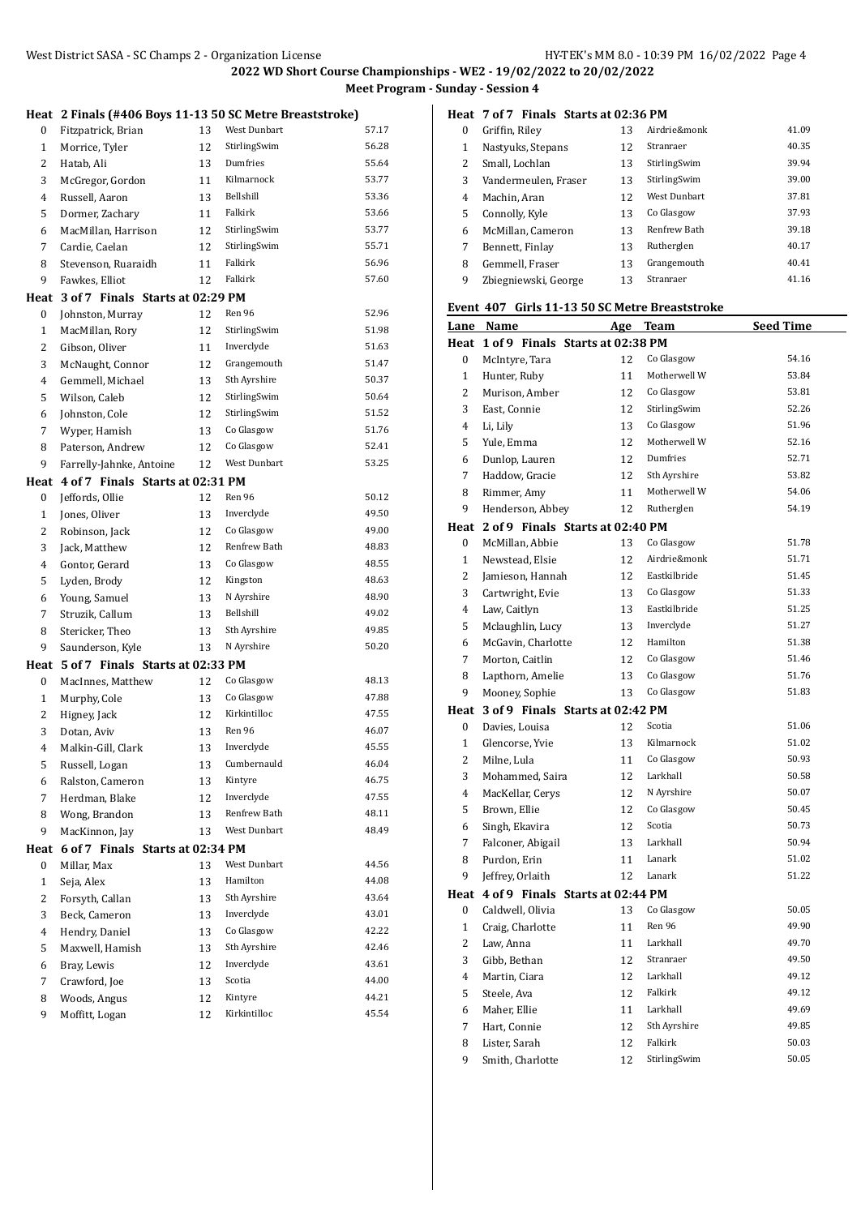**Heat 2 Finals (#406 Boys 11-13 50 SC Metre Breaststroke)**

| 0              | Fitzpatrick, Brian                    | 13 | West Dunbart | 57.17 |
|----------------|---------------------------------------|----|--------------|-------|
| $\mathbf{1}$   | Morrice, Tyler                        | 12 | StirlingSwim | 56.28 |
| 2              | Hatab, Ali                            | 13 | Dumfries     | 55.64 |
| 3              | McGregor, Gordon                      | 11 | Kilmarnock   | 53.77 |
| 4              | Russell, Aaron                        | 13 | Bellshill    | 53.36 |
| 5              | Dormer, Zachary                       | 11 | Falkirk      | 53.66 |
| 6              | MacMillan, Harrison                   | 12 | StirlingSwim | 53.77 |
| 7              | Cardie, Caelan                        | 12 | StirlingSwim | 55.71 |
| 8              | Stevenson, Ruaraidh                   | 11 | Falkirk      | 56.96 |
| 9              | Fawkes, Elliot                        | 12 | Falkirk      | 57.60 |
| Heat           | 3 of 7 Finals Starts at 02:29 PM      |    |              |       |
| 0              | Johnston, Murray                      | 12 | Ren 96       | 52.96 |
| $\mathbf{1}$   | MacMillan, Rory                       | 12 | StirlingSwim | 51.98 |
| 2              | Gibson, Oliver                        | 11 | Inverclyde   | 51.63 |
| 3              | McNaught, Connor                      | 12 | Grangemouth  | 51.47 |
| 4              | Gemmell, Michael                      | 13 | Sth Ayrshire | 50.37 |
| 5              | Wilson, Caleb                         | 12 | StirlingSwim | 50.64 |
| 6              | Johnston, Cole                        | 12 | StirlingSwim | 51.52 |
| 7              | Wyper, Hamish                         | 13 | Co Glasgow   | 51.76 |
| 8              | Paterson, Andrew                      | 12 | Co Glasgow   | 52.41 |
| 9              | Farrelly-Jahnke, Antoine              | 12 | West Dunbart | 53.25 |
|                | Heat 4 of 7 Finals Starts at 02:31 PM |    |              |       |
| 0              | Jeffords, Ollie                       | 12 | Ren 96       | 50.12 |
| $\mathbf{1}$   | Jones, Oliver                         | 13 | Inverclyde   | 49.50 |
| 2              | Robinson, Jack                        | 12 | Co Glasgow   | 49.00 |
| 3              | Jack, Matthew                         | 12 | Renfrew Bath | 48.83 |
| 4              | Gontor, Gerard                        | 13 | Co Glasgow   | 48.55 |
| 5              | Lyden, Brody                          | 12 | Kingston     | 48.63 |
| 6              | Young, Samuel                         | 13 | N Ayrshire   | 48.90 |
| 7              | Struzik, Callum                       | 13 | Bellshill    | 49.02 |
| 8              | Stericker, Theo                       | 13 | Sth Ayrshire | 49.85 |
| 9              | Saunderson, Kyle                      | 13 | N Ayrshire   | 50.20 |
| Heat           | 5 of 7 Finals Starts at 02:33 PM      |    |              |       |
| 0              | MacInnes, Matthew                     | 12 | Co Glasgow   | 48.13 |
| $\mathbf{1}$   | Murphy, Cole                          | 13 | Co Glasgow   | 47.88 |
| $\overline{c}$ | Higney, Jack                          | 12 | Kirkintilloc | 47.55 |
| 3              | Dotan, Aviv                           | 13 | Ren 96       | 46.07 |
| 4              | Malkin-Gill, Clark                    | 13 | Inverclyde   | 45.55 |
| 5              | Russell, Logan                        | 13 | Cumbernauld  | 46.04 |
| 6              | Ralston, Cameron                      | 13 | Kintyre      | 46.75 |
| 7              | Herdman, Blake                        | 12 | Inverclyde   | 47.55 |
| 8              | Wong, Brandon                         | 13 | Renfrew Bath | 48.11 |
| 9              | MacKinnon, Jay                        | 13 | West Dunbart | 48.49 |
| Heat           | 6 of 7 Finals Starts at 02:34 PM      |    |              |       |
| 0              | Millar, Max                           | 13 | West Dunbart | 44.56 |
| $\mathbf{1}$   | Seja, Alex                            | 13 | Hamilton     | 44.08 |
| $\overline{c}$ | Forsyth, Callan                       | 13 | Sth Ayrshire | 43.64 |
| 3              | Beck, Cameron                         | 13 | Inverclyde   | 43.01 |
| 4              | Hendry, Daniel                        | 13 | Co Glasgow   | 42.22 |
| 5              | Maxwell, Hamish                       | 13 | Sth Ayrshire | 42.46 |
| 6              | Bray, Lewis                           | 12 | Inverclyde   | 43.61 |
| 7              | Crawford, Joe                         | 13 | Scotia       | 44.00 |
| 8              | Woods, Angus                          | 12 | Kintyre      | 44.21 |
| 9              | Moffitt, Logan                        | 12 | Kirkintilloc | 45.54 |

**Heat 7 of 7 Finals Starts at 02:36 PM**

| $\Omega$ | Griffin, Riley       | 13 | Airdrie&monk        | 41.09 |
|----------|----------------------|----|---------------------|-------|
| 1        | Nastyuks, Stepans    | 12 | Stranraer           | 40.35 |
| 2        | Small, Lochlan       | 13 | StirlingSwim        | 39.94 |
| 3        | Vandermeulen, Fraser | 13 | StirlingSwim        | 39.00 |
| 4        | Machin, Aran         | 12 | West Dunbart        | 37.81 |
| 5        | Connolly, Kyle       | 13 | Co Glasgow          | 37.93 |
| 6        | McMillan, Cameron    | 13 | <b>Renfrew Bath</b> | 39.18 |
| 7        | Bennett, Finlay      | 13 | Rutherglen          | 40.17 |
| 8        | Gemmell, Fraser      | 13 | Grangemouth         | 40.41 |
| 9        | Zbiegniewski, George | 13 | Stranraer           | 41.16 |

### **Event 407 Girls 11-13 50 SC Metre Breaststroke**

|                  | Lane Name                             | Age | <b>Team</b>  | <b>Seed Time</b> |
|------------------|---------------------------------------|-----|--------------|------------------|
|                  | Heat 1 of 9 Finals Starts at 02:38 PM |     |              |                  |
| 0                | McIntyre, Tara                        | 12  | Co Glasgow   | 54.16            |
| $\mathbf{1}$     | Hunter, Ruby                          | 11  | Motherwell W | 53.84            |
| $\overline{2}$   | Murison, Amber                        | 12  | Co Glasgow   | 53.81            |
| 3                | East, Connie                          | 12  | StirlingSwim | 52.26            |
| $\overline{4}$   | Li, Lily                              | 13  | Co Glasgow   | 51.96            |
| 5                | Yule, Emma                            | 12  | Motherwell W | 52.16            |
| 6                | Dunlop, Lauren                        | 12  | Dumfries     | 52.71            |
| $\overline{7}$   | Haddow, Gracie                        | 12  | Sth Ayrshire | 53.82            |
| 8                | Rimmer, Amy                           | 11  | Motherwell W | 54.06            |
| 9                | Henderson, Abbey                      | 12  | Rutherglen   | 54.19            |
|                  | Heat 2 of 9 Finals Starts at 02:40 PM |     |              |                  |
| 0                | McMillan, Abbie                       | 13  | Co Glasgow   | 51.78            |
| $\mathbf{1}$     | Newstead, Elsie                       | 12  | Airdrie&monk | 51.71            |
| $\overline{2}$   | Jamieson, Hannah                      | 12  | Eastkilbride | 51.45            |
| 3                | Cartwright, Evie                      | 13  | Co Glasgow   | 51.33            |
| 4                | Law, Caitlyn                          | 13  | Eastkilbride | 51.25            |
| 5                | Mclaughlin, Lucy                      | 13  | Inverclyde   | 51.27            |
| 6                | McGavin, Charlotte                    | 12  | Hamilton     | 51.38            |
| 7                | Morton, Caitlin                       | 12  | Co Glasgow   | 51.46            |
| 8                | Lapthorn, Amelie                      | 13  | Co Glasgow   | 51.76            |
| 9                | Mooney, Sophie                        | 13  | Co Glasgow   | 51.83            |
| Heat             | 3 of 9 Finals Starts at 02:42 PM      |     |              |                  |
| $\boldsymbol{0}$ | Davies, Louisa                        | 12  | Scotia       | 51.06            |
| $\mathbf{1}$     | Glencorse, Yvie                       | 13  | Kilmarnock   | 51.02            |
| 2                | Milne, Lula                           | 11  | Co Glasgow   | 50.93            |
| 3                | Mohammed, Saira                       | 12  | Larkhall     | 50.58            |
| $\overline{4}$   | MacKellar, Cerys                      | 12  | N Ayrshire   | 50.07            |
| 5                | Brown, Ellie                          | 12  | Co Glasgow   | 50.45            |
| 6                | Singh, Ekavira                        | 12  | Scotia       | 50.73            |
| 7                | Falconer, Abigail                     | 13  | Larkhall     | 50.94            |
| 8                | Purdon, Erin                          | 11  | Lanark       | 51.02            |
| 9                | Jeffrey, Orlaith                      | 12  | Lanark       | 51.22            |
|                  | Heat 4 of 9 Finals Starts at 02:44 PM |     |              |                  |
| 0                | Caldwell, Olivia                      | 13  | Co Glasgow   | 50.05            |
| $\mathbf{1}$     | Craig, Charlotte                      | 11  | Ren 96       | 49.90            |
| $\overline{2}$   | Law, Anna                             | 11  | Larkhall     | 49.70            |
| 3                | Gibb, Bethan                          | 12  | Stranraer    | 49.50            |
| $\overline{4}$   | Martin, Ciara                         | 12  | Larkhall     | 49.12            |
| 5                | Steele, Ava                           | 12  | Falkirk      | 49.12            |
| 6                | Maher, Ellie                          | 11  | Larkhall     | 49.69            |
| 7                | Hart, Connie                          | 12  | Sth Ayrshire | 49.85            |
| 8                | Lister, Sarah                         | 12  | Falkirk      | 50.03            |
| 9                | Smith, Charlotte                      | 12  | StirlingSwim | 50.05            |